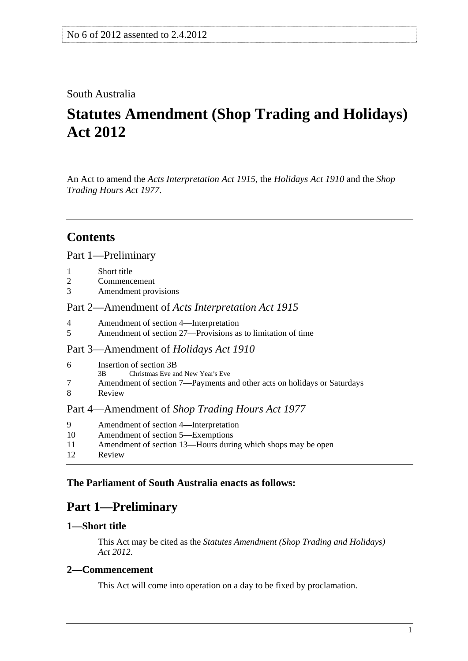# <span id="page-0-0"></span>South Australia

# **Statutes Amendment (Shop Trading and Holidays) Act 2012**

An Act to amend the *[Acts Interpretation Act 1915](http://www.legislation.sa.gov.au/index.aspx?action=legref&type=act&legtitle=Acts%20Interpretation%20Act%201915)*, the *[Holidays Act 1910](http://www.legislation.sa.gov.au/index.aspx?action=legref&type=act&legtitle=Holidays%20Act%201910)* and the *[Shop](http://www.legislation.sa.gov.au/index.aspx?action=legref&type=act&legtitle=Shop%20Trading%20Hours%20Act%201977)  [Trading Hours Act 1977](http://www.legislation.sa.gov.au/index.aspx?action=legref&type=act&legtitle=Shop%20Trading%20Hours%20Act%201977)*.

# **Contents**

# [Part 1—Preliminary](#page-0-0)

- [1 Short title](#page-0-0)
- [2 Commencement](#page-0-0)
- [3 Amendment provisions](#page-1-0)

# Part 2—Amendment of *[Acts Interpretation Act 1915](#page-1-0)*

- [4 Amendment of section 4—Interpretation](#page-1-0)
- [5 Amendment of section 27—Provisions as to limitation of time](#page-1-0)

#### [Part 3—Amendment of](#page-1-0) *Holidays Act 1910*

- [6 Insertion of section 3B](#page-1-0)
	- [3B Christmas Eve and New Year's Eve](#page-0-0)
- [7 Amendment of section 7—Payments and other acts on holidays or Saturdays](#page-2-0)
- [8 Review](#page-2-0)

# Part 4—Amendment of *[Shop Trading Hours Act 1977](#page-2-0)*

- [9 Amendment of section 4—Interpretation](#page-2-0)
- [10 Amendment of section 5—Exemptions](#page-2-0)
- [11 Amendment of section 13—Hours during which shops may be open](#page-3-0)
- [12 Review](#page-3-0)

# **The Parliament of South Australia enacts as follows:**

# **Part 1—Preliminary**

# **1—Short title**

This Act may be cited as the *Statutes Amendment (Shop Trading and Holidays) Act 2012*.

# **2—Commencement**

This Act will come into operation on a day to be fixed by proclamation.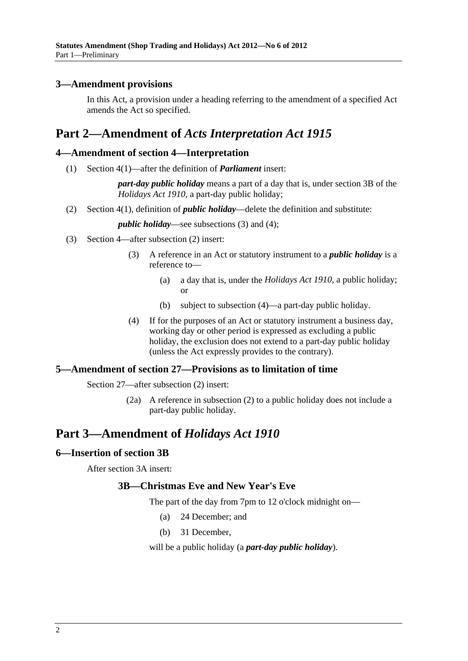# <span id="page-1-0"></span>**3—Amendment provisions**

In this Act, a provision under a heading referring to the amendment of a specified Act amends the Act so specified.

# **Part 2—Amendment of** *Acts Interpretation Act 1915*

#### **4—Amendment of section 4—Interpretation**

(1) Section 4(1)—after the definition of *Parliament* insert:

*part-day public holiday* means a part of a day that is, under section 3B of the *[Holidays Act 1910](http://www.legislation.sa.gov.au/index.aspx?action=legref&type=act&legtitle=Holidays%20Act%201910)*, a part-day public holiday;

(2) Section 4(1), definition of *public holiday*—delete the definition and substitute:

*public holiday*—see subsections (3) and (4);

- (3) Section 4—after subsection (2) insert:
	- (3) A reference in an Act or statutory instrument to a *public holiday* is a reference to—
		- (a) a day that is, under the *[Holidays Act 1910](http://www.legislation.sa.gov.au/index.aspx?action=legref&type=act&legtitle=Holidays%20Act%201910)*, a public holiday; or
		- (b) subject to [subsection \(4\)—](#page-1-0)a part-day public holiday.
	- (4) If for the purposes of an Act or statutory instrument a business day, working day or other period is expressed as excluding a public holiday, the exclusion does not extend to a part-day public holiday (unless the Act expressly provides to the contrary).

#### **5—Amendment of section 27—Provisions as to limitation of time**

Section 27—after subsection (2) insert:

 (2a) A reference in subsection (2) to a public holiday does not include a part-day public holiday.

# **Part 3—Amendment of** *Holidays Act 1910*

#### **6—Insertion of section 3B**

After section 3A insert:

#### **3B—Christmas Eve and New Year's Eve**

The part of the day from 7pm to 12 o'clock midnight on—

- (a) 24 December; and
- (b) 31 December,

will be a public holiday (a *part-day public holiday*).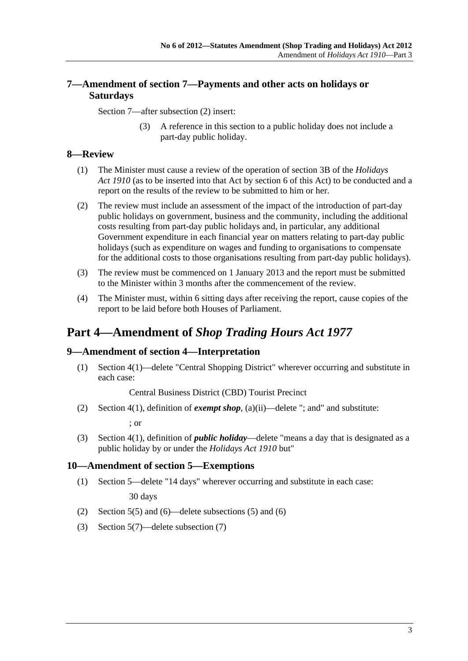# <span id="page-2-0"></span>**7—Amendment of section 7—Payments and other acts on holidays or Saturdays**

Section 7—after subsection (2) insert:

 (3) A reference in this section to a public holiday does not include a part-day public holiday.

# **8—Review**

- (1) The Minister must cause a review of the operation of section 3B of the *[Holidays](http://www.legislation.sa.gov.au/index.aspx?action=legref&type=act&legtitle=Holidays%20Act%201910)  [Act 1910](http://www.legislation.sa.gov.au/index.aspx?action=legref&type=act&legtitle=Holidays%20Act%201910)* (as to be inserted into that Act by [section 6](#page-1-0) of this Act) to be conducted and a report on the results of the review to be submitted to him or her.
- (2) The review must include an assessment of the impact of the introduction of part-day public holidays on government, business and the community, including the additional costs resulting from part-day public holidays and, in particular, any additional Government expenditure in each financial year on matters relating to part-day public holidays (such as expenditure on wages and funding to organisations to compensate for the additional costs to those organisations resulting from part-day public holidays).
- (3) The review must be commenced on 1 January 2013 and the report must be submitted to the Minister within 3 months after the commencement of the review.
- (4) The Minister must, within 6 sitting days after receiving the report, cause copies of the report to be laid before both Houses of Parliament.

# **Part 4—Amendment of** *Shop Trading Hours Act 1977*

#### **9—Amendment of section 4—Interpretation**

 (1) Section 4(1)—delete "Central Shopping District" wherever occurring and substitute in each case:

Central Business District (CBD) Tourist Precinct

(2) Section 4(1), definition of *exempt shop*, (a)(ii)—delete "; and" and substitute:

; or

 (3) Section 4(1), definition of *public holiday*—delete "means a day that is designated as a public holiday by or under the *[Holidays Act 1910](http://www.legislation.sa.gov.au/index.aspx?action=legref&type=act&legtitle=Holidays%20Act%201910)* but"

#### **10—Amendment of section 5—Exemptions**

(1) Section 5—delete "14 days" wherever occurring and substitute in each case:

30 days

- (2) Section 5(5) and (6)—delete subsections (5) and (6)
- (3) Section 5(7)—delete subsection (7)